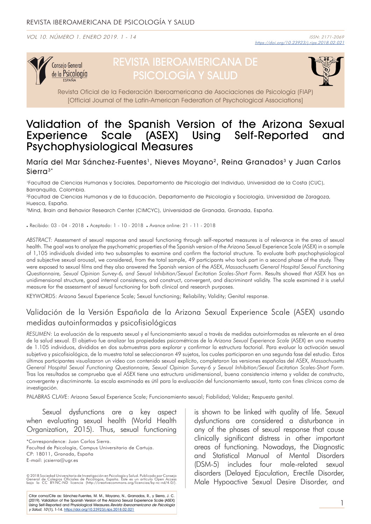VOL 10. NÚMERO 1. ENERO 2019. 1 - 14



# REVISTA IBEROAMERICANA DE PSICOLOGÍA Y SALUD



Revista Oficial de la Federación Iberoamericana de Asociaciones de Psicología (FIAP) [Official Journal of the Latin-American Federation of Psychological Associations]

## Validation of the Spanish Version of the Arizona Sexual Experience Scale (ASEX) Using Self-Reported and Psychophysiological Measures

María del Mar Sánchez-Fuentes<sup>1</sup>, Nieves Movano<sup>2</sup>, Reina Granados<sup>3</sup> y Juan Carlos  $Sierra<sup>3*</sup>$ 

1Facultad de Ciencias Humanas y Sociales, Departamento de Psicología del Individuo, Universidad de la Costa (CUC), Barranquilla, Colombia.

2Facultad de Ciencias Humanas y de la Educación, Departamento de Psicología y Sociología, Universidad de Zaragoza, Huesca, España.

<sup>3</sup>Mind, Brain and Behavior Research Center (CIMCYC), Universidad de Granada, Granada, España.

. Recibido: 03 - 04 - 2018 . Aceptado: 1 - 10 - 2018 . Avance online: 21 - 11 - 2018

*ABSTRACT:* Assessment of sexual response and sexual functioning through self-reported measures is of relevance in the area of sexual health. The goal was to analyze the psychometric properties of the Spanish version of the Arizona Sexual Experience Scale (ASEX) in a sample of 1,105 individuals divided into two subsamples to examine and confirm the factorial structure. To evaluate both psychophysiological and subjective sexual arousal, we considered, from the total sample, 49 participants who took part in a second phase of the study. They were exposed to sexual films and they also answered the Spanish version of the ASEX, *Massachusetts General Hospital Sexual Functioning Questionnaire, Sexual Opinion Survey-6, and Sexual Inhibition/Sexual Excitation Scales-Short Form*. Results showed that ASEX has an unidimensional structure, good internal consistency, and construct, convergent, and discriminant validity. The scale examined it is useful measure for the assessment of sexual functioning for both clinical and research purposes.

KEYWORDS: Arizona Sexual Experience Scale; Sexual functioning; Reliability; Validity; Genital response.

## Validación de la Versión Española de la Arizona Sexual Experience Scale (ASEX) usando medidas autoinformadas y psicofisiológicas

*RESUMEN*: La evaluación de la respuesta sexual y el funcionamiento sexual a través de medidas autoinformadas es relevante en el área de la salud sexual. El objetivo fue analizar las propiedades psicométricas de la *Arizona Sexual Experience Scale* (ASEX) en una muestra de 1.105 individuos, divididos en dos submuestras para explorar y confirmar la estructura factorial. Para evaluar la activación sexual subjetiva y psicofisiológica, de la muestra total se seleccionaron 49 sujetos, los cuales participaron en una segunda fase del estudio. Estos últimos participantes visualizaron un vídeo con contenido sexual explícito, completaron las versiones españolas del ASEX, *Massachusetts General Hospital Sexual Functioning Questionnaire, Sexual Opinion Survey-6 y Sexual Inhibition/Sexual Excitation Scales-Short Form*. Tras los resultados se comprueba que el ASEX tiene una estructura unidimensional, buena consistencia interna y validez de constructo, convergente y discriminante. La escala examinada es útil para la evaluación del funcionamiento sexual, tanto con fines clínicos como de investigación.

PALABRAS CLAVE: Arizona Sexual Experience Scale; Funcionamiento sexual; Fiabilidad; Validez; Respuesta genital.

Sexual dysfunctions are a key aspect when evaluating sexual health (World Health Organization, 2015). Thus, sexual functioning

\*Correspondence: Juan Carlos Sierra. Facultad de Psicología, Campus Universitario de Cartuja. CP: 18011, Granada, España E-mail: jcsierra@ugr.es

© 2018 Sociedad Universitaria de Investigación en Psicología y Salud. Publicado por Consejo<br>General de Colegios Oficiales de Psicólogos, España. Este es un artículo Open Access<br>bajo la CC BY-NC-ND licencia (http://creative

Citar como/Cite as: Sánchez-Fuentes, M. M., Moyano, N., Granados, R., y Sierra, J. C. (2019). Validation of the Spanish Version of the Arizona Sexual Experience Scale (ASEX)<br>Using Self-Reported and Physiological Measures.*Revista Iberoamericana de Psicología* y Salud, 10 (1), 1-14. https://doi.org/10.23923/j.rips.2018.02.021

is shown to be linked with quality of life. Sexual dysfunctions are considered a disturbance in any of the phases of sexual response that cause clinically significant distress in other important areas of functioning. Nowadays, the Diagnostic and Statistical Manual of Mental Disorders (DSM-5) includes four male-related sexual disorders (Delayed Ejaculation, Erectile Disorder, Male Hypoactive Sexual Desire Disorder, and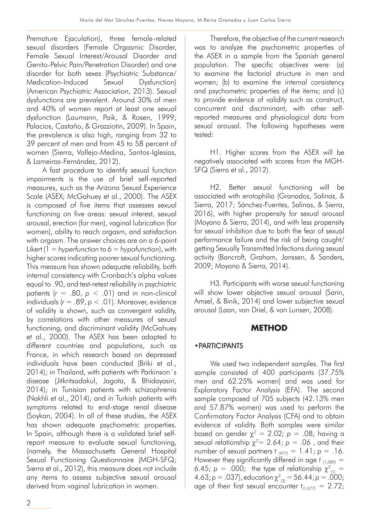Premature Ejaculation), three female-related sexual disorders (Female Orgasmic Disorder, Female Sexual Interest/Arousal Disorder and Genito-Pelvic Pain/Penetration Disorder) and one disorder for both sexes (Psychiatric Substance/ Medication-Induced Sexual Dysfunction) (American Psychiatric Association, 2013). Sexual dysfunctions are prevalent. Around 30% of men and 40% of women report at least one sexual dysfunction (Laumann, Paik, & Rosen, 1999; Palacios, Castaño, & Grazziotin, 2009). In Spain, the prevalence is also high, ranging from 32 to 39 percent of men and from 45 to 58 percent of women (Sierra, Vallejo-Medina, Santos-Iglesias, & Lameiras-Fernández, 2012).

A fast procedure to identify sexual function impairments is the use of brief self-reported measures, such as the Arizona Sexual Experience Scale (ASEX; McGahuey et al., 2000). The ASEX is composed of five items that assesses sexual functioning on five areas: sexual interest, sexual arousal, erection (for men), vaginal lubrication (for women), ability to reach orgasm, and satisfaction with orgasm. The answer choices are on a 6-point Likert (1 = *hyperfunction* to 6 = *hypofunction*), with higher scores indicating poorer sexual functioning. This measure has shown adequate reliability, both internal consistency with Cronbach's alpha values equal to .90, and test-retest reliability in psychiatric patients  $(r = .80, p < .01)$  and in non-clinical individuals (*r* = .89, *p* < .01). Moreover, evidence of validity is shown, such as convergent validity, by correlations with other measures of sexual functioning, and discriminant validity (McGahuey et al., 2000). The ASEX has been adapted to different countries and populations, such as France, in which research based on depressed individuals have been conducted (Briki et al., 2014); in Thailand, with patients with Parkinson´s disease (Jitkritsadakul, Jagota, & Bhidayasiri, 2014); in Tunisian patients with schizophrenia (Nakhli et al., 2014); and in Turkish patients with symptoms related to end-stage renal disease (Soykan, 2004). In all of these studies, the ASEX has shown adequate psychometric properties. In Spain, although there is a validated brief selfreport measure to evaluate sexual functioning, (namely, the Massachusetts General Hospital Sexual Functioning Questionnaire (MGH-SFQ; Sierra et al., 2012), this measure does not include any items to assess subjective sexual arousal derived from vaginal lubrication in women.

Therefore, the objective of the current research was to analyze the psychometric properties of the ASEX in a sample from the Spanish general population. The specific objectives were: (a) to examine the factorial structure in men and women; (b) to examine the internal consistency and psychometric properties of the items; and (c) to provide evidence of validity such as construct, concurrent and discriminant, with other selfreported measures and physiological data from sexual arousal. The following hypotheses were tested:

H1. Higher scores from the ASEX will be negatively associated with scores from the MGH-SFQ (Sierra et al., 2012).

H2. Better sexual functioning will be associated with erotophilia (Granados, Salinas, & Sierra, 2017; Sánchez-Fuentes, Salinas, & Sierra, 2016), with higher propensity for sexual arousal (Moyano & Sierra, 2014), and with less propensity for sexual inhibition due to both the fear of sexual performance failure and the risk of being caught/ getting Sexually Transmitted Infections during sexual activity (Bancroft, Graham, Janssen, & Sanders, 2009; Moyano & Sierra, 2014).

H3. Participants with worse sexual functioning will show lower objective sexual arousal (Sarin, Amsel, & Binik, 2014) and lower subjective sexual arousal (Laan, van Driel, & van Lunsen, 2008).

## **METHOD**

## •PARTICIPANTS

We used two independent samples. The first sample consisted of 400 participants (37.75% men and 62.25% women) and was used for Exploratory Factor Analysis (EFA). The second sample composed of 705 subjects (42.13% men and 57.87% women) was used to perform the Confirmatory Factor Analysis (CFA) and to obtain evidence of validity. Both samples were similar based on gender  $\chi^2 = 2.02$ ;  $p = .08$ ; having a sexual relationship  $\chi^2$  = 2.64;  $p = 0.06$ , and their number of sexual partners *t (977)* = 1.41; *p* = .16. However they significantly differed in age *t (1,089)* = 6.45;  $p = 0.000$ ; the type of relationship  $\chi^2_{(1)} =$ 4.63; *p* = .037), education  $\chi^2_{(3)} = 56.44$ ; *p* = .000; age of their first sexual encounter  $t_{(1,077)} = 2.72$ ;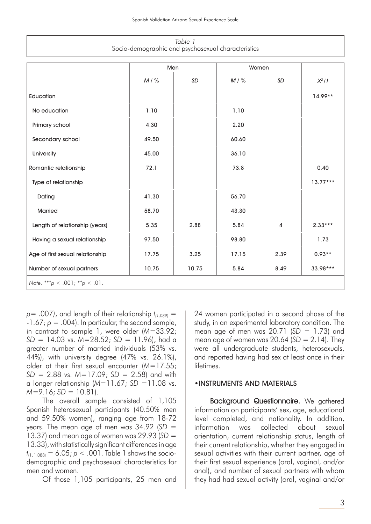| Table 1                                            |  |
|----------------------------------------------------|--|
| Socio-demographic and psychosexual characteristics |  |

|                                  | Men    |       | Women  |           |            |
|----------------------------------|--------|-------|--------|-----------|------------|
|                                  | $M/$ % | SD    | $M/$ % | <b>SD</b> | $X^2/t$    |
| Education                        |        |       |        |           | $14.99**$  |
| No education                     | 1.10   |       | 1.10   |           |            |
| Primary school                   | 4.30   |       | 2.20   |           |            |
| Secondary school                 | 49.50  |       | 60.60  |           |            |
| University                       | 45.00  |       | 36.10  |           |            |
| Romantic relationship            | 72.1   |       | 73.8   |           | 0.40       |
| Type of relationship             |        |       |        |           | $13.77***$ |
| Dating                           | 41.30  |       | 56.70  |           |            |
| <b>Married</b>                   | 58.70  |       | 43.30  |           |            |
| Length of relationship (years)   | 5.35   | 2.88  | 5.84   | 4         | $2.33***$  |
| Having a sexual relationship     | 97.50  |       | 98.80  |           | 1.73       |
| Age of first sexual relationship | 17.75  | 3.25  | 17.15  | 2.39      | $0.93**$   |
| Number of sexual partners        | 10.75  | 10.75 | 5.84   | 8.49      | 33.98***   |
| Note. ***p < .001; **p < .01.    |        |       |        |           |            |

 $p=$  .007), and length of their relationship  $t_{(1,089)} =$  $-1.67$ ;  $p = .004$ ). In particular, the second sample, in contrast to sample 1, were older (*M*=33.92; *SD* = 14.03 vs. *M*=28.52; *SD* = 11.96), had a greater number of married individuals (53% vs. 44%), with university degree (47% vs. 26.1%), older at their first sexual encounter (*M*=17.55; *SD* = 2.88 vs. *M*=17.09; *SD* = 2.58) and with a longer relationship (*M*=11.67; *SD* =11.08 vs.  $M=9.16$ ; *SD* = 10.81).

The overall sample consisted of 1,105 Spanish heterosexual participants (40.50% men and 59.50% women), ranging age from 18-72 years. The mean age of men was 34.92 (*SD* = 13.37) and mean age of women was 29.93 (*SD* = 13.33), with statistically significant differences in age  $t_{(1, 1,088)} = 6.05$ ;  $p < .001$ . Table 1 shows the sociodemographic and psychosexual characteristics for men and women.

Of those 1,105 participants, 25 men and

24 women participated in a second phase of the study, in an experimental laboratory condition. The mean age of men was 20.71 (*SD* = 1.73) and mean age of women was  $20.64$  ( $SD = 2.14$ ). They were all undergraduate students, heterosexuals, and reported having had sex at least once in their lifetimes.

#### •INSTRUMENTS AND MATERIALS

Background Questionnaire. We gathered information on participants' sex, age, educational level completed, and nationality. In addition, information was collected about sexual orientation, current relationship status, length of their current relationship, whether they engaged in sexual activities with their current partner, age of their first sexual experience (oral, vaginal, and/or anal), and number of sexual partners with whom they had had sexual activity (oral, vaginal and/or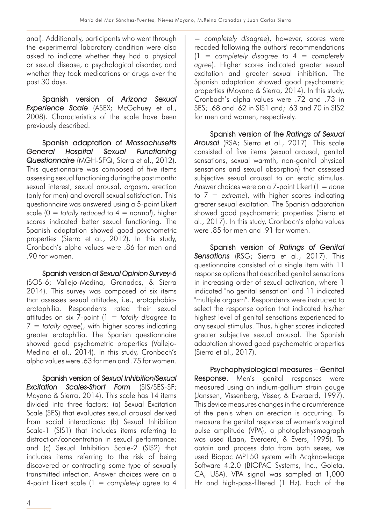anal). Additionally, participants who went through the experimental laboratory condition were also asked to indicate whether they had a physical or sexual disease, a psychological disorder, and whether they took medications or drugs over the past 30 days.

Spanish version of Arizona Sexual Experience Scale (ASEX; McGahuey et al., 2008). Characteristics of the scale have been previously described.

Spanish adaptation of Massachusetts General Hospital Sexual Functioning Questionnaire (MGH-SFQ; Sierra et al., 2012). This questionnaire was composed of five items assessing sexual functioning during the past month: sexual interest, sexual arousal, orgasm, erection (only for men) and overall sexual satisfaction. This questionnaire was answered using a 5-point Likert scale (0 = *totally reduced* to 4 = *normal*), higher scores indicated better sexual functioning. The Spanish adaptation showed good psychometric properties (Sierra et al., 2012). In this study, Cronbach's alpha values were .86 for men and .90 for women.

Spanish version of Sexual Opinion Survey-6 (SOS-6; Vallejo-Medina, Granados, & Sierra 2014). This survey was composed of six items that assesses sexual attitudes, i.e., erotophobiaerotophilia. Respondents rated their sexual attitudes on six 7-point (1 = *totally disagree* to 7 = *totally agree*), with higher scores indicating greater erotophilia. The Spanish questionnaire showed good psychometric properties (Vallejo-Medina et al., 2014). In this study, Cronbach's alpha values were .63 for men and .75 for women.

Spanish version of Sexual Inhibition/Sexual Excitation Scales-Short Form (SIS/SES-SF; Moyano & Sierra, 2014). This scale has 14 items divided into three factors: (a) Sexual Excitation Scale (SES) that evaluates sexual arousal derived from social interactions; (b) Sexual Inhibition Scale-1 (SIS1) that includes items referring to distraction/concentration in sexual performance; and (c) Sexual Inhibition Scale-2 (SIS2) that includes items referring to the risk of being discovered or contracting some type of sexually transmitted infection. Answer choices were on a 4-point Likert scale (1 = *completely agree* to 4

= *completely disagree*), however, scores were recoded following the authors' recommendations (1 = *completely disagree* to 4 = *completely agree*). Higher scores indicated greater sexual excitation and greater sexual inhibition. The Spanish adaptation showed good psychometric properties (Moyano & Sierra, 2014). In this study, Cronbach's alpha values were .72 and .73 in SES; .68 and .62 in SIS1 and; .63 and 70 in SIS2 for men and women, respectively.

Spanish version of the Ratings of Sexual Arousal (RSA; Sierra et al., 2017). This scale consisted of five items (sexual arousal, genital sensations, sexual warmth, non-genital physical sensations and sexual absorption) that assessed subjective sexual arousal to an erotic stimulus. Answer choices were on a 7-point Likert (1 = *none* to 7 = *extreme*), with higher scores indicating greater sexual excitation. The Spanish adaptation showed good psychometric properties (Sierra et al., 2017). In this study, Cronbach's alpha values were .85 for men and .91 for women.

Spanish version of Ratings of Genital Sensations (RSG; Sierra et al., 2017). This questionnaire consisted of a single item with 11 response options that described genital sensations in increasing order of sexual activation, where 1 indicated "no genital sensation" and 11 indicated "multiple orgasm". Respondents were instructed to select the response option that indicated his/her highest level of genital sensations experienced to any sexual stimulus. Thus, higher scores indicated greater subjective sexual arousal. The Spanish adaptation showed good psychometric properties (Sierra et al., 2017).

Psychophysiological measures – Genital Response. Men's genital responses were measured using an indium-gallium strain gauge (Janssen, Vissenberg, Visser, & Everaerd, 1997). This device measures changes in the circumference of the penis when an erection is occurring. To measure the genital response of women's vaginal pulse amplitude (VPA), a photoplethysmograph was used (Laan, Everaerd, & Evers, 1995). To obtain and process data from both sexes, we used Biopac MP150 system with Acqknowledge Software 4.2.0 (BIOPAC Systems, Inc., Goleta, CA, USA). VPA signal was sampled at 1,000 Hz and high-pass-filtered (1 Hz). Each of the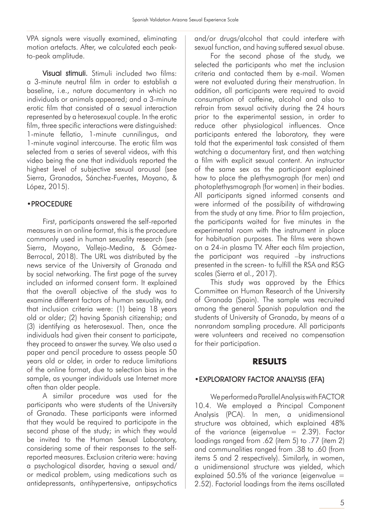VPA signals were visually examined, eliminating motion artefacts. After, we calculated each peakto-peak amplitude.

Visual stimuli. Stimuli included two films: a 3-minute neutral film in order to establish a baseline, i.e., nature documentary in which no individuals or animals appeared; and a 3-minute erotic film that consisted of a sexual interaction represented by a heterosexual couple. In the erotic film, three specific interactions were distinguished: 1-minute fellatio, 1-minute cunnilingus, and 1-minute vaginal intercourse. The erotic film was selected from a series of several videos, with this video being the one that individuals reported the highest level of subjective sexual arousal (see Sierra, Granados, Sánchez-Fuentes, Moyano, & López, 2015).

## •PROCEDURE

First, participants answered the self-reported measures in an online format, this is the procedure commonly used in human sexuality research (see Sierra, Moyano, Vallejo-Medina, & Gómez-Berrocal, 2018). The URL was distributed by the news service of the University of Granada and by social networking. The first page of the survey included an informed consent form. It explained that the overall objective of the study was to examine different factors of human sexuality, and that inclusion criteria were: (1) being 18 years old or older; (2) having Spanish citizenship; and (3) identifying as heterosexual. Then, once the individuals had given their consent to participate, they proceed to answer the survey. We also used a paper and pencil procedure to assess people 50 years old or older, in order to reduce limitations of the online format, due to selection bias in the sample, as younger individuals use Internet more often than older people.

A similar procedure was used for the participants who were students of the University of Granada. These participants were informed that they would be required to participate in the second phase of the study; in which they would be invited to the Human Sexual Laboratory, considering some of their responses to the selfreported measures. Exclusion criteria were: having a psychological disorder, having a sexual and/ or medical problem, using medications such as antidepressants, antihypertensive, antipsychotics and/or drugs/alcohol that could interfere with sexual function, and having suffered sexual abuse.

For the second phase of the study, we selected the participants who met the inclusion criteria and contacted them by e-mail. Women were not evaluated during their menstruation. In addition, all participants were required to avoid consumption of caffeine, alcohol and also to refrain from sexual activity during the 24 hours prior to the experimental session, in order to reduce other physiological influences. Once participants entered the laboratory, they were told that the experimental task consisted of them watching a documentary first, and then watching a film with explicit sexual content. An instructor of the same sex as the participant explained how to place the plethysmograph (for men) and photoplethysmograph (for women) in their bodies. All participants signed informed consents and were informed of the possibility of withdrawing from the study at any time. Prior to film projection, the participants waited for five minutes in the experimental room with the instrument in place for habituation purposes. The films were shown on a 24-in plasma TV. After each film projection, the participant was required –by instructions presented in the screen- to fulfill the RSA and RSG scales (Sierra et al., 2017).

This study was approved by the Ethics Committee on Human Research of the University of Granada (Spain). The sample was recruited among the general Spanish population and the students of University of Granada, by means of a nonrandom sampling procedure. All participants were volunteers and received no compensation for their participation.

## **RESULTS**

## •EXPLORATORY FACTOR ANALYSIS (EFA)

We performed a Parallel Analysis with FACTOR 10.4. We employed a Principal Component Analysis (PCA). In men, a unidimensional structure was obtained, which explained 48% of the variance (eigenvalue  $= 2.39$ ). Factor loadings ranged from .62 (item 5) to .77 (item 2) and communalities ranged from .38 to .60 (from items 5 and 2 respectively). Similarly, in women, a unidimensional structure was yielded, which explained 50.5% of the variance (eigenvalue  $=$ 2.52). Factorial loadings from the items oscillated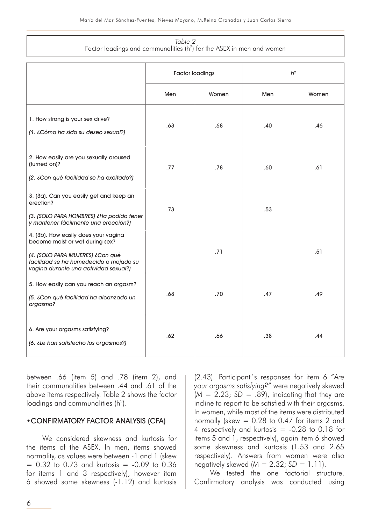#### *Table 2* Factor loadings and communalities ( $h^2$ ) for the ASEX in men and women

|                                                                                                                                                                                                | <b>Factor loadings</b> |       | $h^2$ |       |  |
|------------------------------------------------------------------------------------------------------------------------------------------------------------------------------------------------|------------------------|-------|-------|-------|--|
|                                                                                                                                                                                                | Men                    | Women | Men   | Women |  |
| 1. How strong is your sex drive?<br>[1. ¿Cómo ha sido su deseo sexual?]                                                                                                                        | .63                    | .68   | .40   | .46   |  |
| 2. How easily are you sexually aroused<br>(turned on)?<br>(2. ¿Con qué facilidad se ha excitado?)                                                                                              | .77                    | .78   | .60   | .61   |  |
| 3. (3a). Can you easily get and keep an<br>erection?<br>[3. [SOLO PARA HOMBRES] ¿Ha podido tener<br>y mantener fácilmente una erección?)                                                       | .73                    |       | .53   |       |  |
| 4. (3b). How easily does your vagina<br>become moist or wet during sex?<br>(4. (SOLO PARA MUJERES) ¿Con qué<br>facilidad se ha humedecido o mojado su<br>vagina durante una actividad sexual?) |                        | .71   |       | .51   |  |
| 5. How easily can you reach an orgasm?<br>(5. ¿Con qué facilidad ha alcanzado un<br>orgasmo?                                                                                                   | .68                    | .70   | .47   | .49   |  |
| 6. Are your orgasms satisfying?<br>(6. ¿Le han satisfecho los orgasmos?)                                                                                                                       | .62                    | .66   | .38   | .44   |  |

between .66 (item 5) and .78 (item 2), and their communalities between .44 and .61 of the above items respectively. Table 2 shows the factor loadings and communalities (h<sup>2</sup>).

#### •CONFIRMATORY FACTOR ANALYSIS (CFA)

We considered skewness and kurtosis for the items of the ASEX. In men, items showed normality, as values were between -1 and 1 (skew  $= 0.32$  to 0.73 and kurtosis  $= -0.09$  to 0.36 for items 1 and 3 respectively), however item 6 showed some skewness (-1.12) and kurtosis (2.43). Participant´s responses for item 6 "*Are your orgasms satisfying?*" were negatively skewed  $(M = 2.23; SD = .89)$ , indicating that they are incline to report to be satisfied with their orgasms. In women, while most of the items were distributed normally (skew = 0.28 to 0.47 for items 2 and 4 respectively and kurtosis = -0.28 to 0.18 for items 5 and 1, respectively), again item 6 showed some skewness and kurtosis (1.53 and 2.65 respectively). Answers from women were also negatively skewed (*M* = 2.32; *SD* = 1.11).

We tested the one factorial structure. Confirmatory analysis was conducted using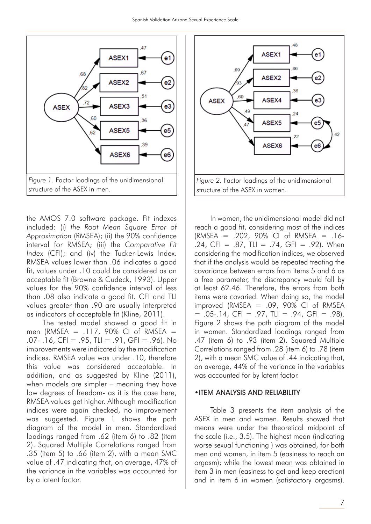

the AMOS 7.0 software package. Fit indexes included: (i) *the Root Mean Square Error of Approximation* (RMSEA); (ii) the 90% confidence interval for RMSEA; (iii) the *Comparative Fit Index* (CFI); and (iv) the Tucker-Lewis Index. RMSEA values lower than .06 indicates a good fit, values under .10 could be considered as an acceptable fit (Browne & Cudeck, 1993). Upper values for the 90% confidence interval of less than .08 also indicate a good fit. CFI and TLI values greater than .90 are usually interpreted as indicators of acceptable fit (Kline, 2011).

The tested model showed a good fit in men (RMSEA = .117, 90% CI of RMSEA = .07- .16, CFI = .95, TLI = .91, GFI = .96). No improvements were indicated by the modification indices. RMSEA value was under .10, therefore this value was considered acceptable. In addition, and as suggested by Kline (2011), when models are simpler – meaning they have low degrees of freedom- as it is the case here, RMSEA values get higher. Although modification indices were again checked, no improvement was suggested. Figure 1 shows the path diagram of the model in men. Standardized loadings ranged from .62 (item 6) to .82 (item 2). Squared Multiple Correlations ranged from .35 (item 5) to .66 (item 2), with a mean SMC value of .47 indicating that, on average, 47% of the variance in the variables was accounted for by a latent factor.



In women, the unidimensional model did not reach a good fit, considering most of the indices  $(RMSEA = .202, 90\% CI of RMSEA = .16-$ .24, CFI = .87, TLI = .74, GFI = .92). When considering the modification indices, we observed that if the analysis would be repeated treating the covariance between errors from items 5 and 6 as a free parameter, the discrepancy would fall by at least 62.46. Therefore, the errors from both items were covaried. When doing so, the model improved (RMSEA  $= .09, 90\%$  CI of RMSEA  $= .05-.14$ , CFI = .97, TLI = .94, GFI = .98). Figure 2 shows the path diagram of the model in women. Standardized loadings ranged from .47 (item 6) to .93 (item 2). Squared Multiple Correlations ranged from .28 (item 6) to .78 (item 2), with a mean SMC value of .44 indicating that, on average, 44% of the variance in the variables was accounted for by latent factor.

#### •ITEM ANALYSIS AND RELIABILITY

Table 3 presents the item analysis of the ASEX in men and women. Results showed that means were under the theoretical midpoint of the scale (i.e., 3.5). The highest mean (indicating worse sexual functioning ) was obtained, for both men and women, in item 5 (easiness to reach an orgasm); while the lowest mean was obtained in item 3 in men (easiness to get and keep erection) and in item 6 in women (satisfactory orgasms).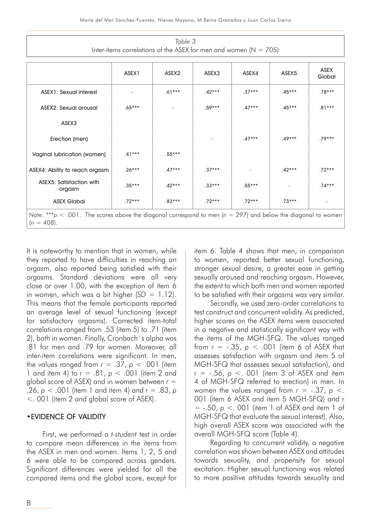| Table 3                                                              |  |
|----------------------------------------------------------------------|--|
| Inter-items correlations of the ASEX for men and women ( $N = 705$ ) |  |

|                                                                                                                                   | ASEX1    | ASEX2    | ASEX3    | ASEX4    | ASEX <sub>5</sub> | <b>ASEX</b><br>Global    |
|-----------------------------------------------------------------------------------------------------------------------------------|----------|----------|----------|----------|-------------------|--------------------------|
| <b>ASEX1: Sexual interest</b>                                                                                                     |          | $.61***$ | $.42***$ | $.37***$ | $.45***$          | $.78***$                 |
| <b>ASEX2: Sexual arousal</b>                                                                                                      | $.65***$ |          | $.59***$ | $.47***$ | $.45***$          | $.81***$                 |
| ASEX3                                                                                                                             |          |          |          |          |                   |                          |
| Erection (men)                                                                                                                    |          |          |          | $.47***$ | $.49***$          | $.79***$                 |
| Vaginal lubrication (women)                                                                                                       | $.41***$ | $.55***$ |          |          |                   |                          |
| ASEX4: Ability to reach orgasm                                                                                                    | $.26***$ | $.47***$ | $.37***$ |          | $.42***$          | $.72***$                 |
| <b>ASEX5: Satisfaction with</b><br>orgasm                                                                                         | $.35***$ | $.42***$ | $.33***$ | $.55***$ |                   | $.74***$                 |
| <b>ASEX Global</b>                                                                                                                | $.72***$ | $.83***$ | $.72***$ | $.72***$ | $.73***$          | $\overline{\phantom{a}}$ |
| Note. ***p < .001. The scores above the diagonal correspond to men ( $n = 297$ ) and below the diagonal to women<br>$(n = 408)$ . |          |          |          |          |                   |                          |

It is noteworthy to mention that in women, while they reported to have difficulties in reaching an orgasm, also reported being satisfied with their orgasms. Standard deviations were all very close or over 1.00, with the exception of item 6 in women, which was a bit higher  $(SD = 1.12)$ . This means that the female participants reported an average level of sexual functioning (except for satisfactory orgasms). Corrected item-total correlations ranged from .53 (item 5) to .71 (item 2), both in women. Finally, Cronbach´s alpha was .81 for men and .79 for women. Moreover, all inter-item correlations were significant. In men, the values ranged from  $r = .37$ ,  $p < .001$  (item 1 and item 4) to *r* = .81, *p* < .001 (item 2 and global score of ASEX) and in women between *r* = .26, *p* < .001 (item 1 and item 4) and *r* = .83, *p*  <. 001 (item 2 and global score of ASEX).

#### •EVIDENCE OF VALIDITY

First, we performed a *t-student* test in order to compare mean differences in the items from the ASEX in men and women. Items 1, 2, 5 and 6 were able to be compared across genders. Significant differences were yielded for all the compared items and the global score, except for item 6. Table 4 shows that men, in comparison to women, reported better sexual functioning, stronger sexual desire, a greater ease in getting sexually aroused and reaching orgasm. However, the extent to which both men and women reported to be satisfied with their orgasms was very similar.

Secondly, we used zero-order correlations to test construct and concurrent validity. As predicted, higher scores on the ASEX items were associated in a negative and statistically significant way with the items of the MGH-SFQ. The values ranged from *r* = -.35, *p* < .001 (item 6 of ASEX that assesses satisfaction with orgasm and item 5 of MGH-SFQ that assesses sexual satisfaction), and *r* = -.56, *p* <. 001 (item 3 of ASEX and item 4 of MGH-SFQ referred to erection) in men. In women the values ranged from  $r = -.37$ ,  $p < .$ 001 (item 6 ASEX and item 5 MGH-SFQ) and r = -.50, *p* <. 001 (item 1 of ASEX and item 1 of MGH-SFQ that evaluate the sexual interest). Also, high overall ASEX score was associated with the overall MGH-SFQ score (Table 4).

Regarding to concurrent validity, a negative correlation was shown between ASEX and attitudes towards sexuality, and propensity for sexual excitation. Higher sexual functioning was related to more positive attitudes towards sexuality and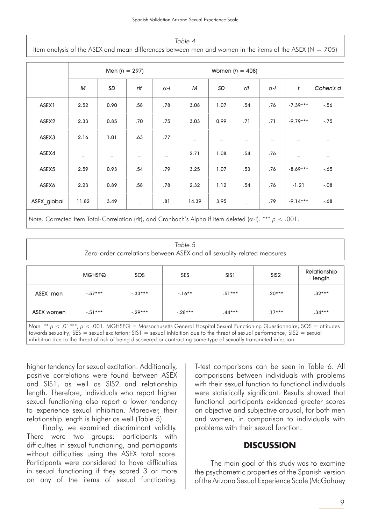| Table 4<br>Item analysis of the ASEX and mean differences between men and women in the items of the ASEX ( $N = 705$ ) |                                                                                                                     |      |                          |             |       |      |     |             |            |           |
|------------------------------------------------------------------------------------------------------------------------|---------------------------------------------------------------------------------------------------------------------|------|--------------------------|-------------|-------|------|-----|-------------|------------|-----------|
| Men $(n = 297)$<br>Women $(n = 408)$                                                                                   |                                                                                                                     |      |                          |             |       |      |     |             |            |           |
|                                                                                                                        | M                                                                                                                   | SD   | rit                      | $\alpha$ -i | M     | SD   | rit | $\alpha$ -i | t          | Cohen's d |
| ASEX1                                                                                                                  | 2.52                                                                                                                | 0.90 | .58                      | .78         | 3.08  | 1.07 | .54 | .76         | $-7.39***$ | $-.56$    |
| ASEX2                                                                                                                  | 2.33                                                                                                                | 0.85 | .70                      | .75         | 3.03  | 0.99 | .71 | .71         | $-9.79***$ | $-.75$    |
| ASEX3                                                                                                                  | 2.16                                                                                                                | 1.01 | .63                      | .77         |       |      |     |             |            |           |
| ASEX4                                                                                                                  |                                                                                                                     |      | $\overline{\phantom{m}}$ |             | 2.71  | 1.08 | .54 | .76         |            |           |
| ASEX5                                                                                                                  | 2.59                                                                                                                | 0.93 | .54                      | .79         | 3.25  | 1.07 | .53 | .76         | $-8.69***$ | $-.65$    |
| ASEX6                                                                                                                  | 2.23                                                                                                                | 0.89 | .58                      | .78         | 2.32  | 1.12 | .54 | .76         | $-1.21$    | $-.08$    |
| ASEX global                                                                                                            | 11.82                                                                                                               | 3.49 |                          | .81         | 14.39 | 3.95 |     | .79         | $-9.14***$ | $-.68$    |
|                                                                                                                        | Note. Corrected Item Total-Correlation (rit), and Cronbach's Alpha if item deleted ( $\alpha$ -i). *** $p < .001$ . |      |                          |             |       |      |     |             |            |           |

#### *Table 5*

Zero-order correlations between ASEX and all sexuality-related measures

|                                                                                                                                                                                                                                                                                                                                                                                             | <b>MGHSFQ</b> | SOS      | <b>SES</b> | SIS <sub>1</sub> | SIS <sub>2</sub> | Relationship<br>length |  |  |  |
|---------------------------------------------------------------------------------------------------------------------------------------------------------------------------------------------------------------------------------------------------------------------------------------------------------------------------------------------------------------------------------------------|---------------|----------|------------|------------------|------------------|------------------------|--|--|--|
| ASEX men                                                                                                                                                                                                                                                                                                                                                                                    | $-.57***$     | $-33***$ | $-16**$    | $.51***$         | $20***$          | $.32***$               |  |  |  |
| ASEX women                                                                                                                                                                                                                                                                                                                                                                                  | $-51***$      | $-29***$ | $-28***$   | $.44***$         | $17***$          | $.34***$               |  |  |  |
| Note. ** $p < .01***$ ; $p < .001$ . MGHSFQ = Massachusetts General Hospital Sexual Functioning Questionnaire; SOS = attitudes<br>towards sexuality; $SES =$ sexual excitation; $SIS1 =$ sexual inhibition due to the threat of sexual performance; $SIS2 =$ sexual<br>inhibition due to the threat of risk of being discovered or contracting some type of sexually transmitted infection. |               |          |            |                  |                  |                        |  |  |  |

higher tendency for sexual excitation. Additionally, positive correlations were found between ASEX and SIS1, as well as SIS2 and relationship length. Therefore, individuals who report higher sexual functioning also report a lower tendency to experience sexual inhibition. Moreover, their relationship length is higher as well (Table 5).

Finally, we examined discriminant validity. There were two groups: participants with difficulties in sexual functioning, and participants without difficulties using the ASEX total score. Participants were considered to have difficulties in sexual functioning if they scored 3 or more on any of the items of sexual functioning.

T-test comparisons can be seen in Table 6. All comparisons between individuals with problems with their sexual function to functional individuals were statistically significant. Results showed that functional participants evidenced greater scores on objective and subjective arousal, for both men and women, in comparison to individuals with problems with their sexual function.

## **DISCUSSION**

The main goal of this study was to examine the psychometric properties of the Spanish version of the Arizona Sexual Experience Scale (McGahuey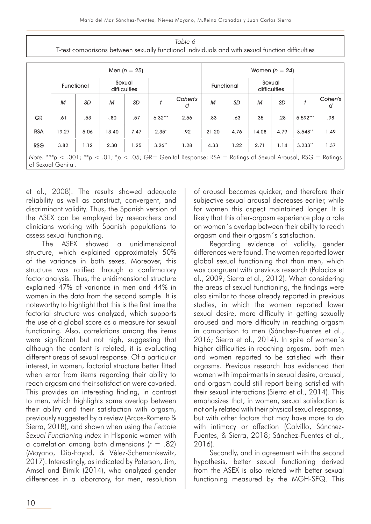*Table 6* T-test comparisons between sexually functional individuals and with sexual function difficulties

|            | Men $(n = 25)$                                                                                                                       |      |                        |           |           |              |       |      |       | Women $(n = 24)$ |            |              |  |                        |  |  |
|------------|--------------------------------------------------------------------------------------------------------------------------------------|------|------------------------|-----------|-----------|--------------|-------|------|-------|------------------|------------|--------------|--|------------------------|--|--|
|            | Functional                                                                                                                           |      | Sexual<br>difficulties |           |           |              |       |      |       |                  | Functional |              |  | Sexual<br>difficulties |  |  |
|            | M                                                                                                                                    | SD   | M                      | <b>SD</b> |           | Cohen's<br>d | M     | SD   | М     | SD               |            | Cohen's<br>d |  |                        |  |  |
| <b>GR</b>  | .61                                                                                                                                  | .53  | $-.80$                 | .57       | $6.32***$ | 2.56         | .83   | .63  | .35   | .28              | 5.592***   | .98          |  |                        |  |  |
| <b>RSA</b> | 19.27                                                                                                                                | 5.06 | 13.40                  | 7.47      | $2.35*$   | .92          | 21.20 | 4.76 | 14.08 | 4.79             | $3.548**$  | 1.49         |  |                        |  |  |
| <b>RSG</b> | 3.82                                                                                                                                 | 1.12 | 2.30                   | 1.25      | $3.26**$  | 1.28         | 4.33  | 1.22 | 2.71  | 1.14             | $3.233**$  | 1.37         |  |                        |  |  |
|            | Note. ***p < .001; **p < .01; *p < .05; GR= Genital Response; RSA = Ratings of Sexual Arousal; RSG = Ratings  <br>of Sexual Genital. |      |                        |           |           |              |       |      |       |                  |            |              |  |                        |  |  |

et al., 2008). The results showed adequate reliability as well as construct, convergent, and discriminant validity. Thus, the Spanish version of the ASEX can be employed by researchers and clinicians working with Spanish populations to assess sexual functioning.

The ASEX showed a unidimensional structure, which explained approximately 50% of the variance in both sexes. Moreover, this structure was ratified through a confirmatory factor analysis. Thus, the unidimensional structure explained 47% of variance in men and 44% in women in the data from the second sample. It is noteworthy to highlight that this is the first time the factorial structure was analyzed, which supports the use of a global score as a measure for sexual functioning. Also, correlations among the items were significant but not high, suggesting that although the content is related, it is evaluating different areas of sexual response. Of a particular interest, in women, factorial structure better fitted when error from items regarding their ability to reach orgasm and their satisfaction were covaried. This provides an interesting finding, in contrast to men, which highlights some overlap between their ability and their satisfaction with orgasm, previously suggested by a review (Arcos-Romero & Sierra, 2018), and shown when using the *Female Sexual Functioning Index* in Hispanic women with a correlation among both dimensions (*r* = .82) (Moyano, Dib-Fayad, & Vélez-Schemankewitz, 2017). Interestingly, as indicated by Paterson, Jim, Amsel and Bimik (2014), who analyzed gender differences in a laboratory, for men, resolution of arousal becomes quicker, and therefore their subjective sexual arousal decreases earlier, while for women this aspect maintained longer. It is likely that this after-orgasm experience play a role on women´s overlap between their ability to reach orgasm and their orgasm´s satisfaction.

Regarding evidence of validity, gender differences were found. The women reported lower global sexual functioning that than men, which was congruent with previous research (Palacios et al., 2009; Sierra et al., 2012). When considering the areas of sexual functioning, the findings were also similar to those already reported in previous studies, in which the women reported lower sexual desire, more difficulty in getting sexually aroused and more difficulty in reaching orgasm in comparison to men (Sánchez-Fuentes et al., 2016; Sierra et al., 2014). In spite of women´s higher difficulties in reaching orgasm, both men and women reported to be satisfied with their orgasms. Previous research has evidenced that women with impairments in sexual desire, arousal, and orgasm could still report being satisfied with their sexual interactions (Sierra et al., 2014). This emphasizes that, in women, sexual satisfaction is not only related with their physical sexual response, but with other factors that may have more to do with intimacy or affection (Calvillo, Sánchez-Fuentes, & Sierra, 2018; Sánchez-Fuentes et al., 2016).

Secondly, and in agreement with the second hypothesis, better sexual functioning derived from the ASEX is also related with better sexual functioning measured by the MGH-SFQ. This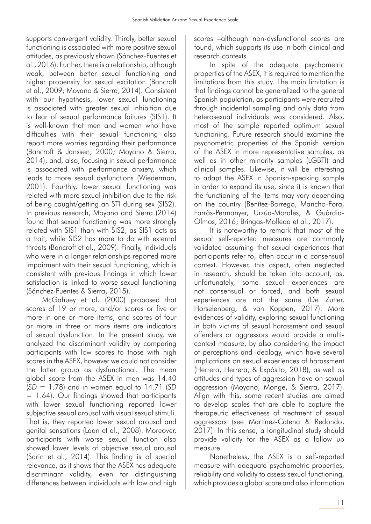supports convergent validity. Thirdly, better sexual functioning is associated with more positive sexual attitudes, as previously shown (Sánchez-Fuentes et al., 2016). Further, there is a relationship, although weak, between better sexual functioning and higher propensity for sexual excitation (Bancroft et al., 2009; Moyano & Sierra, 2014). Consistent with our hypothesis, lower sexual functioning is associated with greater sexual inhibition due to fear of sexual performance failures (SIS1). It is well-known that men and women who have difficulties with their sexual functioning also report more worries regarding their performance (Bancroft & Janssen, 2000; Moyano & Sierra, 2014); and, also, focusing in sexual performance is associated with performance anxiety, which leads to more sexual dysfunctions (Wiederman, 2001). Fourthly, lower sexual functioning was related with more sexual inhibition due to the risk of being caught/getting an STI during sex (SIS2). In previous research, Moyano and Sierra (2014) found that sexual functioning was more strongly related with SIS1 than with SIS2, as SIS1 acts as a trait, while SIS2 has more to do with external threats (Bancroft et al., 2009). Finally, individuals who were in a longer relationships reported more impairment with their sexual functioning, which is consistent with previous findings in which lower satisfaction is linked to worse sexual functioning (Sánchez-Fuentes & Sierra, 2015).

McGahuey et al. (2000) proposed that scores of 19 or more, and/or scores or five or more in one or more items, and scores of four or more in three or more items are indicators of sexual dysfunction. In the present study, we analyzed the discriminant validity by comparing participants with low scores to those with high scores in the ASEX, however we could not consider the latter group as dysfunctional. The mean global score from the ASEX in men was 14.40 (*SD* = 1.78) and in women equal to 14.71 (*SD* = 1.64). Our findings showed that participants with lower sexual functioning reported lower subjective sexual arousal with visual sexual stimuli. That is, they reported lower sexual arousal and genital sensations (Laan et al., 2008). Moreover, participants with worse sexual function also showed lower levels of objective sexual arousal (Sarin et al., 2014). This finding is of special relevance, as it shows that the ASEX has adequate discriminant validity, even for distinguishing differences between individuals with low and high

scores –although non-dysfunctional scores are found, which supports its use in both clinical and research contexts.

In spite of the adequate psychometric properties of the ASEX, it is required to mention the limitations from this study. The main limitation is that findings cannot be generalized to the general Spanish population, as participants were recruited through incidental sampling and only data from heterosexual individuals was considered. Also, most of the sample reported optimum sexual functioning. Future research should examine the psychometric properties of the Spanish version of the ASEX in more representative samples, as well as in other minority samples (LGBTI) and clinical samples. Likewise, it will be interesting to adapt the ASEX in Spanish-speaking sample in order to expand its use, since it is known that the functioning of the items may vary depending on the country (Benítez-Borrego, Mancho-Fora, Farràs-Permanyer, Urzúa-Morales, & Guàrdia-Olmos, 2016; Bringas-Molleda et al., 2017).

It is noteworthy to remark that most of the sexual self-reported measures are commonly validated assuming that sexual experiences that participants refer to, often occur in a consensual context. However, this aspect, often neglected in research, should be taken into account, as, unfortunately, some sexual experiences are not consensual or forced, and both sexual experiences are not the same (De Zutter, Horselenberg, & van Koppen, 2017). More evidences of validity, exploring sexual functioning in both victims of sexual harassment and sexual offenders or aggressors would provide a multicontext measure, by also considering the impact of perceptions and ideology, which have several implications on sexual experiences of harassment (Herrera, Herrera, & Expósito, 2018), as well as attitudes and types of aggression have on sexual aggression (Moyano, Monge, & Sierra, 2017). Align with this, some recent studies are aimed to develop scales that are able to capture the therapeutic effectiveness of treatment of sexual aggressors (see Martínez-Catena & Redondo, 2017). In this sense, a longitudinal study should provide validity for the ASEX as a follow up measure.

Nonetheless, the ASEX is a self-reported measure with adequate psychometric properties, reliability and validity to assess sexual functioning, which provides a global score and also information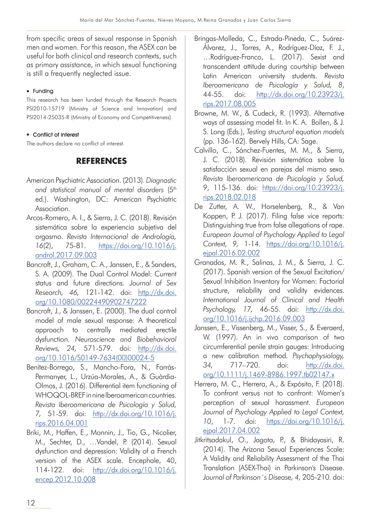from specific areas of sexual response in Spanish men and women. For this reason, the ASEX can be useful for both clinical and research contexts, such as primary assistance, in which sexual functioning is still a frequently neglected issue.

## $\bullet$  Funding

This research has been funded through the Research Projects PSI2010-15719 (Ministry of Science and Innovation) and PSI2014-25035-R (Ministry of Economy and Competitiveness).

## • Conflict of interest

The authors declare no conflict of interest.

## **REFERENCES**

- American Psychiatric Association. (2013). *Diagnostic*  and statistical manual of mental disorders (5<sup>th</sup> ed.). Washington, DC: American Psychiatric Association.
- Arcos-Romero, A. I., & Sierra, J. C. (2018). Revisión sistemática sobre la experiencia subjetiva del orgasmo. *Revista Internacional de Andrología, 16*(2), 75-81. https://doi.org/10.1016/j. androl.2017.09.003
- Bancroft, J., Graham, C. A., Janssen, E., & Sanders, S. A. (2009). The Dual Control Model: Current status and future directions. *Journal of Sex Research, 46,* 121-142. doi: http://dx.doi. org/10.1080/00224490902747222
- Bancroft, J., & Janssen, E. (2000). The dual control model of male sexual response: A theoretical approach to centrally mediated erectile dysfunction. *Neuroscience and Biobehavioral Reviews, 24,* 571-579. doi: http://dx.doi. org/10.1016/S0149-7634(00)00024-5
- Benítez-Borrego, S., Mancho-Fora, N., Farràs-Permanyer, L., Urzúa-Morales, A., & Guàrdia-Olmos, J. (2016). Differential item functioning of WHOQOL-BREF in nine Iberoamerican countries. *Revista Iberoamericana de Psicología y Salud, 7,* 51-59. doi: http://dx.doi.org/10.1016/j. rips.2016.04.001
- Briki, M., Haffen, E., Monnin, J., Tio, G., Nicolier, M., Sechter, D., ...Vandel, P. (2014). Sexual dysfunction and depression: Validity of a French version of the ASEX scale. Encephale, 40, 114-122. doi: http://dx.doi.org/10.1016/j. encep.2012.10.008
- Bringas-Molleda, C., Estrada-Pineda, C., Suárez-Álvarez, J., Torres, A., Rodríguez-Díaz, F. J., …Rodríguez-Franco, L. (2017). Sexist and transcendent attitude during courtship between Latin American university students. *Revista Iberoamericana de Psicología y Salud, 8*, 44-55. doi: http://dx.doi.org/10.23923/j. rips.2017.08.005
- Browne, M. W., & Cudeck, R. (1993). Alternative ways of assessing model fit. In K. A. Bollen, & J. S. Long (Eds.), *Testing structural equation models*  (pp. 136-162). Bervely Hills, CA: Sage.
- Calvillo, C., Sánchez-Fuentes, M. M., & Sierra, J. C. (2018). Revisión sistemática sobre la satisfacción sexual en parejas del mismo sexo. *Revista Iberoamericana de Psicología y Salud, 9*, 115-136. doi: https://doi.org/10.23923/j. rips.2018.02.018
- De Zutter, A. W., Horselenberg, R., & Van Koppen, P. J. (2017). Filing false vice reports: Distinguishing true from false allegations of rape. *European Journal of Psychology Applied to Legal Context, 9,* 1-14. https://doi.org/10.1016/j. ejpal.2016.02.002
- Granados, M. R., Salinas, J. M., & Sierra, J. C. (2017). Spanish version of the Sexual Excitation/ Sexual Inhibition Inventory for Women: Factorial structure, reliability and validity evidences. *International Journal of Clinical and Health Psychology, 17,* 46-55. doi: http://dx.doi. org/10.1016/j.ijchp.2016.09.003
- Janssen, E., Vissenberg, M., Visser, S., & Everaerd, W. (1997). An in vivo comparison of two circumferential penile strain gauges: Introducing a new calibration method. *Psychophysiology, 34,* 717–720. doi: http://dx.doi. org/10.1111/j.1469-8986.1997.tb02147.x
- Herrera, M. C., Herrera, A., & Expósito, F. (2018). To confront versus not to confront: Women's perception of sexual harassment. *European Journal of Psychology Applied to Legal Context, 10*, 1-7. doi: https://doi.org/10.1016/j. ejpal.2017.04.002
- Jitkritsadakul, O., Jagota, P., & Bhidayasiri, R. (2014). The Arizona Sexual Experiences Scale: A Validity and Reliability Assessment of the Thai Translation (ASEX-Thai) in Parkinson's Disease. *Journal of Parkinson´s Disease, 4,* 205-210. doi: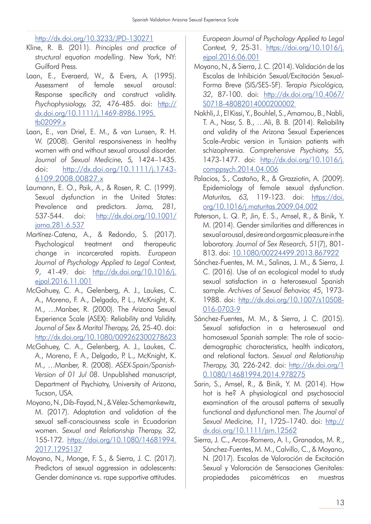## http://dx.doi.org/10.3233/JPD-130271

- Kline, R. B. (2011). *Principles and practice of structural equation modelling*. New York, NY: Guilford Press.
- Laan, E., Everaerd, W., & Evers, A. (1995). Assessment of female sexual arousal: Response specificity and construct validity. *Psychophysiology, 32,* 476-485. doi: http:// dx.doi.org/10.1111/j.1469-8986.1995. tb02099.x
- Laan, E., van Driel, E. M., & van Lunsen, R. H. W. (2008). Genital responsiveness in healthy women with and without sexual arousal disorder. *Journal of Sexual Medicine, 5,* 1424–1435. doi: http://dx.doi.org/10.1111/j.1743- 6109.2008.00827.x
- Laumann, E. O., Paik, A., & Rosen, R. C. (1999). Sexual dysfunction in the United States: Prevalence and predictors. *Jama, 281,* 537-544. doi: http://dx.doi.org/10.1001/ jama.281.6.537
- Martínez-Catena, A., & Redondo, S. (2017). Psychological treatment and therapeutic change in incarcerated rapists. *European Journal of Psychology Applied to Legal Context, 9*, 41-49. doi: http://dx.doi.org/10.1016/j. ejpal.2016.11.001
- McGahuey, C. A., Gelenberg, A. J., Laukes, C. A., Moreno, F. A., Delgado, P. L., McKnight, K. M., …Manber, R. (2000). The Arizona Sexual Experience Scale (ASEX): Reliability and Validity. *Journal of Sex & Marital Therapy, 26,* 25-40. doi: http://dx.doi.org/10.1080/009262300278623
- McGahuey, C. A., Gelenberg, A. J., Laukes, C. A., Moreno, F. A., Delgado, P. L., McKnight, K. M., …Manber, R. (2008). *ASEX-Spain/Spanish-Version of 01 Jul 08*. Unpublished manuscript, Department of Psychiatry, University of Arizona, Tucson, USA.
- Moyano, N., Dib-Fayad, N., & Vélez-Schemankewitz, M. (2017). Adaptation and validation of the sexual self-consciousness scale in Ecuadorian women. *Sexual and Relationship Therapy, 32,* 155-172. https://doi.org/10.1080/14681994. 2017.1295137
- Moyano, N., Monge, F. S., & Sierra, J. C. (2017). Predictors of sexual aggression in adolescents: Gender dominance vs. rape supportive attitudes.

*European Journal of Psychology Applied to Legal Context, 9*, 25-31. https://doi.org/10.1016/j. ejpal.2016.06.001

- Moyano, N., & Sierra, J. C. (2014). Validación de las Escalas de Inhibición Sexual/Excitación Sexual-Forma Breve (SIS/SES-SF). *Terapia Psicológica, 32*, 87-100. doi: http://dx.doi.org/10.4067/ S0718-48082014000200002
- Nakhli, J., El Kissi, Y., Bouhlel, S., Amamou, B., Nabli, T. A., Nasr, S. B., …Ali, B. B. (2014). Reliability and validity of the Arizona Sexual Experiences Scale-Arabic version in Tunisian patients with schizophrenia. *Comprehensive Psychiatry, 55,*  1473-1477. doi: http://dx.doi.org/10.1016/j. comppsych.2014.04.006
- Palacios, S., Castaño, R., & Grazziotin, A. (2009). Epidemiology of female sexual dysfunction. *Maturitas, 63,* 119-123. doi: https://doi. org/10.1016/j.maturitas.2009.04.002
- Paterson, L. Q. P., Jin, E. S., Amsel, R., & Binik, Y. M. (2014). Gender similarities and differences in sexual arousal, desire and orgasmic pleasure in the laboratory. *Journal of Sex Research, 51*(7), 801- 813. doi: 10.1080/00224499.2013.867922
- Sánchez-Fuentes, M. M., Salinas, J. M., & Sierra, J. C. (2016). Use of an ecological model to study sexual satisfaction in a heterosexual Spanish sample. *Archives of Sexual Behavior, 45*, 1973- 1988. doi: http://dx.doi.org/10.1007/s10508- 016-0703-9
- Sánchez-Fuentes, M. M., & Sierra, J. C. (2015). Sexual satisfaction in a heterosexual and homosexual Spanish sample: The role of sociodemographic characteristics, health indicators, and relational factors. *Sexual and Relationship Therapy, 30,* 226-242. doi: http://dx.doi.org/1 0.1080/14681994.2014.978275
- Sarin, S., Amsel, R., & Binik, Y. M. (2014). How hot is he? A physiological and psychosocial examination of the arousal patterns of sexually functional and dysfunctional men. *The Journal of Sexual Medicine, 11*, 1725–1740. doi: http:// dx.doi.org/10.1111/jsm.12562
- Sierra, J. C., Arcos-Romero, A. I., Granados, M. R., Sánchez-Fuentes, M. M., Calvillo, C., & Moyano, N. (2017). Escalas de Valoración de Excitación Sexual y Valoración de Sensaciones Genitales: propiedades psicométricas en muestras